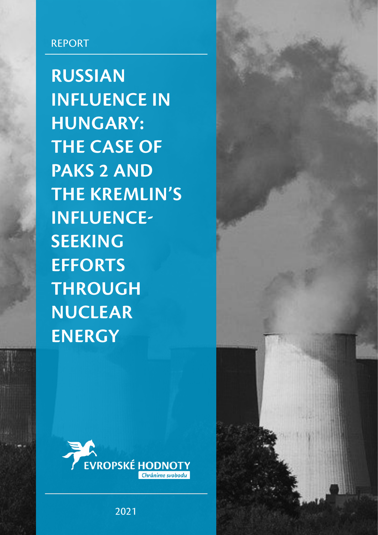# REPORT

**RUSSIAN INFLUENCE IN HUNGARY: THE CASE OF PAKS 2 AND THE KREMLIN'S INFLUENCE-SEEKING EFFORTS THROUGH NUCLEAR ENERGY**



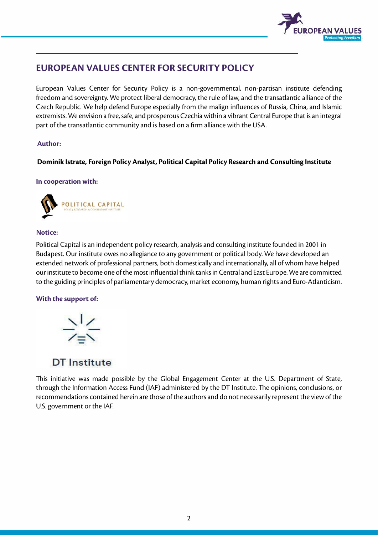

# **EUROPEAN VALUES CENTER FOR SECURITY POLICY**

European Values Center for Security Policy is a non-governmental, non-partisan institute defending freedom and sovereignty. We protect liberal democracy, the rule of law, and the transatlantic alliance of the Czech Republic. We help defend Europe especially from the malign influences of Russia, China, and Islamic extremists. We envision a free, safe, and prosperous Czechia within a vibrant Central Europe that is an integral part of the transatlantic community and is based on a firm alliance with the USA.

### **Author:**

### **Dominik Istrate, Foreign Policy Analyst, Political Capital Policy Research and Consulting Institute**

### **In cooperation with:**



### **Notice:**

Political Capital is an independent policy research, analysis and consulting institute founded in 2001 in Budapest. Our institute owes no allegiance to any government or political body. We have developed an extended network of professional partners, both domestically and internationally, all of whom have helped our institute to become one of the most influential think tanks in Central and East Europe. We are committed to the guiding principles of parliamentary democracy, market economy, human rights and Euro-Atlanticism.

### **With the support of:**



## **DT** Institute

This initiative was made possible by the Global Engagement Center at the U.S. Department of State, through the Information Access Fund (IAF) administered by the DT Institute. The opinions, conclusions, or recommendations contained herein are those of the authors and do not necessarily represent the view of the U.S. government or the IAF.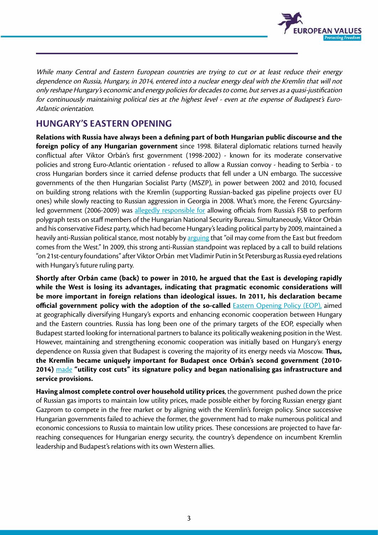

While many Central and Eastern European countries are trying to cut or at least reduce their energy dependence on Russia, Hungary, in 2014, entered into a nuclear energy deal with the Kremlin that will not only reshape Hungary's economic and energy policies for decades to come, but serves as a quasi-justification for continuously maintaining political ties at the highest level - even at the expense of Budapest's Euro-Atlantic orientation.

## **HUNGARY'S EASTERN OPENING**

**Relations with Russia have always been a defining part of both Hungarian public discourse and the foreign policy of any Hungarian government** since 1998. Bilateral diplomatic relations turned heavily conflictual after Viktor Orbán's first government (1998-2002) - known for its moderate conservative policies and strong Euro-Atlantic orientation - refused to allow a Russian convoy - heading to Serbia - to cross Hungarian borders since it carried defense products that fell under a UN embargo. The successive governments of the then Hungarian Socialist Party (MSZP), in power between 2002 and 2010, focused on building strong relations with the Kremlin (supporting Russian-backed gas pipeline projects over EU ones) while slowly reacting to Russian aggression in Georgia in 2008. What's more, the Ferenc Gyurcsányled government (2006-2009) was [allegedly responsible for](https://www.valaszonline.hu/2019/04/17/gyurcsany-szilvasy-oroszok-titkosszolgalat/) allowing officials from Russia's FSB to perform polygraph tests on staff members of the Hungarian National Security Bureau. Simultaneously, Viktor Orbán and his conservative Fidesz party, which had become Hungary's leading political party by 2009, maintained a heavily anti-Russian political stance, most notably by [arguing](https://24.hu/belfold/2007/03/30/orban_olaj_keletrol_jon/) that "oil may come from the East but freedom comes from the West." In 2009, this strong anti-Russian standpoint was replaced by a call to build relations "on 21st-century foundations" after Viktor Orbán met Vladimir Putin in St Petersburg as Russia eyed relations with Hungary's future ruling party.

**Shortly after Orbán came (back) to power in 2010, he argued that the East is developing rapidly while the West is losing its advantages, indicating that pragmatic economic considerations will be more important in foreign relations than ideological issues. In 2011, his declaration became official government policy with the adoption of the so-called** [Eastern Opening Policy \(EOP\),](http://abouthungary.hu/eastern-opening/) aimed at geographically diversifying Hungary's exports and enhancing economic cooperation between Hungary and the Eastern countries. Russia has long been one of the primary targets of the EOP, especially when Budapest started looking for international partners to balance its politically weakening position in the West. However, maintaining and strengthening economic cooperation was initially based on Hungary's energy dependence on Russia given that Budapest is covering the majority of its energy needs via Moscow. **Thus, the Kremlin became uniquely important for Budapest once Orbán's second government (2010- 2014)** [made](https://bbj.hu/politics/orban-prepares-for-battle-over-utility-price-cuts_69150) **"utility cost cuts" its signature policy and began nationalising gas infrastructure and service provisions.**

**Having almost complete control over household utility prices**, the government pushed down the price of Russian gas imports to maintain low utility prices, made possible either by forcing Russian energy giant Gazprom to compete in the free market or by aligning with the Kremlin's foreign policy. Since successive Hungarian governments failed to achieve the former, the government had to make numerous political and economic concessions to Russia to maintain low utility prices. These concessions are projected to have farreaching consequences for Hungarian energy security, the country's dependence on incumbent Kremlin leadership and Budapest's relations with its own Western allies.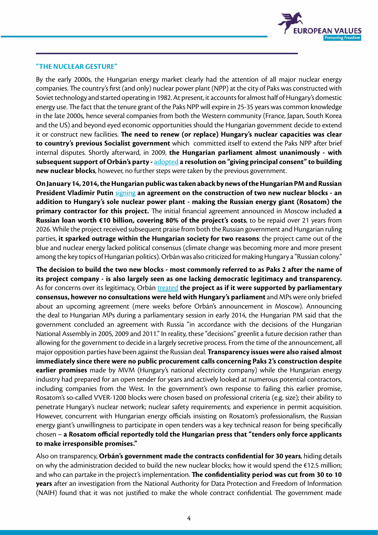

#### **["THE NUCLEAR GESTURE"](https://www.direkt36.hu/orban-jatszmaja/)**

By the early 2000s, the Hungarian energy market clearly had the attention of all major nuclear energy companies. The country's first (and only) nuclear power plant (NPP) at the city of Paks was constructed with Soviet technology and started operating in 1982. At present, it accounts for almost half of Hungary's domestic energy use. The fact that the tenure grant of the Paks NPP will expire in 25-35 years was common knowledge in the late 2000s, hence several companies from both the Western community (France, Japan, South Korea and the US) and beyond eyed economic opportunities should the Hungarian government decide to extend it or construct new facilities. **The need to renew (or replace) Hungary's nuclear capacities was clear to country's previous Socialist government** which committed itself to extend the Paks NPP after brief internal disputes. Shortly afterward, in 2009, **the Hungarian parliament almost unanimously - with subsequent support of Orbán's party -** [adopted](https://hvg.hu/gazdasag/20140115_Oroszok_Pakson__hogyan_jutottunk_idaig) **a resolution on "giving principal consent" to building new nuclear blocks**, however, no further steps were taken by the previous government.

**On January 14, 2014, the Hungarian public was taken aback by news of the Hungarian PM and Russian President Vladimir Putin** [signing](https://bbj.hu/politics/orb%C3%A1n-to-moscow-paks-nuclear-plant-deal-expected_74316) **an agreement on the construction of two new nuclear blocks - an addition to Hungary's sole nuclear power plant - making the Russian energy giant (Rosatom) the primary contractor for this project.** The initial financial agreement announced in Moscow included **a Russian loan worth €10 billion, covering 80% of the project's costs**, to be repaid over 21 years from 2026. While the project received subsequent praise from both the Russian government and Hungarian ruling parties, **it sparked outrage within the Hungarian society for two reasons**: the project came out of the blue and nuclear energy lacked political consensus (climate change was becoming more and more present among the key topics of Hungarian politics). Orbán was also criticized for making Hungary a "Russian colony."

**The decision to build the two new blocks - most commonly referred to as Paks 2 after the name of its project company - is also largely seen as one lacking democratic legitimacy and transparency.** As for concerns over its legitimacy, Orbán [treated](https://www.youtube.com/playlist?list=PLwZtTJKHNDYhHUbHdiTQdliQGPtd5P3fr) the project as if it were supported by parliamentary **consensus, however no consultations were held with Hungary's parliament** and MPs were only briefed about an upcoming agreement (mere weeks before Orbán's announcement in Moscow). Announcing the deal to Hungarian MPs during a parliamentary session in early 2014, the Hungarian PM said that the government concluded an agreement with Russia "in accordance with the decisions of the Hungarian National Assembly in 2005, 2009 and 2011." In reality, these "decisions" greenlit a future decision rather than allowing for the government to decide in a largely secretive process. From the time of the announcement, all major opposition parties have been against the Russian deal. **Transparency issues were also raised almost immediately since there were no public procurement calls concerning Paks 2's construction despite earlier promises** made by MVM (Hungary's national electricity company) while the Hungarian energy industry had prepared for an open tender for years and actively looked at numerous potential contractors, including companies from the West. In the government's own response to failing this earlier promise, Rosatom's so-called VVER-1200 blocks were chosen based on professional criteria (e.g. size); their ability to penetrate Hungary's nuclear network; nuclear safety requirements; and experience in permit acquisition. However, concurrent with Hungarian energy officials insisting on Rosatom's professionalism, the Russian energy giant's unwillingness to participate in open tenders was a key technical reason for being specifically chosen – **a Rosatom official reportedly told the Hungarian press that "tenders only force applicants to make irresponsible promises."** 

Also on transparency, **Orbán's government made the contracts confidential for 30 years**, hiding details on why the administration decided to build the new nuclear blocks; how it would spend the €12.5 million; and who can partake in the project's implementation. **The confidentiality period was cut from 30 to 10 years** after an investigation from the National Authority for Data Protection and Freedom of Information (NAIH) found that it was not justified to make the whole contract confidential. The government made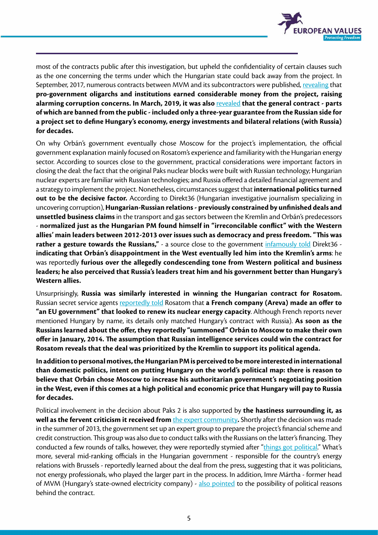

most of the contracts public after this investigation, but upheld the confidentiality of certain clauses such as the one concerning the terms under which the Hungarian state could back away from the project. In September, 2017, numerous contracts between MVM and its subcontractors were published, [revealing](https://orszagszerte.atlatszo.hu/milliardo-projekteket-kaptak-a-paksi-atomeromuben-meszaros-lorinc-cegei/) that **pro-government oligarchs and institutions earned considerable money from the project, raising alarming corruption concerns. In March, 2019, it was also** [revealed](https://24.hu/belfold/2019/03/29/paks-2-szerzodes-javor-benedek/) **that the general contract - parts of which are banned from the public - included only a three-year guarantee from the Russian side for a project set to define Hungary's economy, energy investments and bilateral relations (with Russia) for decades.**

On why Orbán's government eventually chose Moscow for the project's implementation, the official government explanation mainly focused on Rosatom's experience and familiarity with the Hungarian energy sector. According to sources close to the government, practical considerations were important factors in closing the deal: the fact that the original Paks nuclear blocks were built with Russian technology; Hungarian nuclear experts are familiar with Russian technologies; and Russia offered a detailed financial agreement and a strategy to implement the project. Nonetheless, circumstances suggest that **international politics turned out to be the decisive factor.** According to Direkt36 (Hungarian investigative journalism specializing in uncovering corruption), **Hungarian-Russian relations - previously constrained by unfinished deals and unsettled business claims** in the transport and gas sectors between the Kremlin and Orbán's predecessors - **normalized just as the Hungarian PM found himself in "irreconcilable conflict" with the Western allies' main leaders between 2012-2013 over issues such as democracy and press freedom. "This was rather a gesture towards the Russians,"** - a source close to the government [infamously told](https://www.direkt36.hu/orban-jatszmaja/) Direkt36 **indicating that Orbán's disappointment in the West eventually led him into the Kremlin's arms**: he was reportedly **furious over the allegedly condescending tone from Western political and business leaders; he also perceived that Russia's leaders treat him and his government better than Hungary's Western allies.**

Unsurprisingly, **Russia was similarly interested in winning the Hungarian contract for Rosatom.**  Russian secret service agents [reportedly told](https://444.hu/2014/08/02/paks-bovites-titkosszolgalat/) Rosatom that **a French company (Areva) made an offer to "an EU government" that looked to renew its nuclear energy capacity**. Although French reports never mentioned Hungary by name, its details only matched Hungary's contract with Russia). **As soon as the Russians learned about the offer, they reportedly "summoned" Orbán to Moscow to make their own offer in January, 2014. The assumption that Russian intelligence services could win the contract for Rosatom reveals that the deal was prioritized by the Kremlin to support its political agenda.**

**In addition to personal motives, the Hungarian PM is perceived to be more interested in international than domestic politics, intent on putting Hungary on the world's political map: there is reason to believe that Orbán chose Moscow to increase his authoritarian government's negotiating position in the West, even if this comes at a high political and economic price that Hungary will pay to Russia for decades.** 

Political involvement in the decision about Paks 2 is also supported by **the hastiness surrounding it, as well as the fervent criticism it received from** *[the expert community](https://index.hu/gazdasag/2014/01/14/paks/)*. Shortly after the decision was made in the summer of 2013, the government set up an expert group to prepare the project's financial scheme and credit construction. This group was also due to conduct talks with the Russians on the latter's financing. They conducted a few rounds of talks, however, they were reportedly stymied after ["things got political](https://www.direkt36.hu/orban-jatszmaja/)." What's more, several mid-ranking officials in the Hungarian government - responsible for the country's energy relations with Brussels - reportedly learned about the deal from the press, suggesting that it was politicians, not energy professionals, who played the larger part in the process. In addition, Imre Mártha - former head of MVM (Hungary's state-owned electricity company) - [also pointed](https://hvg.hu/gazdasag/20190405_Volt_MVMvezer_Zsebszerzodesenek_tunik_a_paksi_szerzodes) to the possibility of political reasons behind the contract.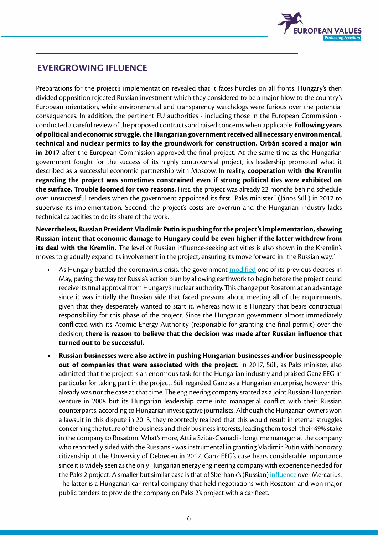

### **EVERGROWING IFLUENCE**

Preparations for the project's implementation revealed that it faces hurdles on all fronts. Hungary's then divided opposition rejected Russian investment which they considered to be a major blow to the country's European orientation, while environmental and transparency watchdogs were furious over the potential consequences. In addition, the pertinent EU authorities - including those in the European Commission conducted a careful review of the proposed contracts and raised concerns when applicable. **Following years of political and economic struggle, the Hungarian government received all necessary environmental, technical and nuclear permits to lay the groundwork for construction. Orbán scored a major win in 2017** after the European Commission approved the final project. At the same time as the Hungarian government fought for the success of its highly controversial project, its leadership promoted what it described as a successful economic partnership with Moscow. In reality, **cooperation with the Kremlin regarding the project was sometimes constrained even if strong political ties were exhibited on the surface. Trouble loomed for two reasons.** First, the project was already 22 months behind schedule over unsuccessful tenders when the government appointed its first "Paks minister" (János Süli) in 2017 to supervise its implementation. Second, the project's costs are overrun and the Hungarian industry lacks technical capacities to do its share of the work.

**Nevertheless, Russian President Vladimir Putin is pushing for the project's implementation, showing Russian intent that economic damage to Hungary could be even higher if the latter withdrew from its deal with the Kremlin.** The level of Russian influence-seeking activities is also shown in the Kremlin's moves to gradually expand its involvement in the project, ensuring its move forward in "the Russian way."

- As Hungary battled the coronavirus crisis, the government [modified](https://444.hu/2020/06/09/addig-nyomultak-az-oroszok-hogy-nekik-kedvezoen-utemeztek-at-paks-2-t) one of its previous decrees in May, paving the way for Russia's action plan by allowing earthwork to begin before the project could receive its final approval from Hungary's nuclear authority. This change put Rosatom at an advantage since it was initially the Russian side that faced pressure about meeting all of the requirements, given that they desperately wanted to start it, whereas now it is Hungary that bears contractual responsibility for this phase of the project. Since the Hungarian government almost immediately conflicted with its Atomic Energy Authority (responsible for granting the final permit) over the decision, **there is reason to believe that the decision was made after Russian influence that turned out to be successful.**
- **• Russian businesses were also active in pushing Hungarian businesses and/or businesspeople out of companies that were associated with the project.** In 2017, Süli, as Paks minister, also admitted that the project is an enormous task for the Hungarian industry and praised Ganz EEG in particular for taking part in the project. Süli regarded Ganz as a Hungarian enterprise, however this already was not the case at that time. The engineering company started as a joint Russian-Hungarian venture in 2008 but its Hungarian leadership came into managerial conflict with their Russian counterparts, according to [Hungarian investigative journalists](https://www.direkt36.hu/igy-szoritottak-ki-az-oroszok-a-magyarokat-paks-2-egyik-fontos-cegebol/). Although the Hungarian owners won a lawsuit in this dispute in 2015, they reportedly realized that this would result in eternal struggles concerning the future of the business and their business interests, leading them to sell their 49% stake in the company to Rosatom. What's more, Attila Szitár-Csanádi - longtime manager at the company who reportedly sided with the Russians - was instrumental in granting Vladimir Putin with honorary citizenship at the University of Debrecen in 2017. Ganz EEG's case bears considerable importance since it is widely seen as the only Hungarian energy engineering company with experience needed for the Paks 2 project. A smaller but similar case is that of Sberbank's (Russian) [influence](https://www.direkt36.hu/orosz-befolyas-ala-kerult-egy-magyar-ceg-es-most-ujabb-munkat-kaphat-paks2-korul/) over Mercarius. The latter is a Hungarian car rental company that held negotiations with Rosatom and won major public tenders to provide the company on Paks 2's project with a car fleet.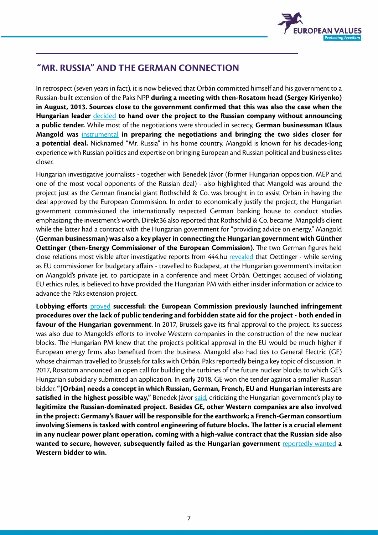

## **"MR. RUSSIA" AND THE GERMAN CONNECTION**

In retrospect (seven years in fact), it is now believed that Orbán committed himself and his government to a Russian-built extension of the Paks NPP **during a meeting with then-Rosatom head (Sergey Kiriyenko) in August, 2013. Sources close to the government confirmed that this was also the case when the Hungarian leader** [decided](https://hvg.hu/gazdasag/20140115_Oroszok_Pakson__hogyan_jutottunk_idaig) **to hand over the project to the Russian company without announcing a public tender.** While most of the negotiations were shrouded in secrecy, **German businessman Klaus Mangold was** [instrumental](https://www.direkt36.hu/a-rejtelyes-nemet-aki-orban-orosz-manovereit-egyengeti/) **in preparing the negotiations and bringing the two sides closer for a potential deal.** Nicknamed "Mr. Russia" in his home country, Mangold is known for his decades-long experience with Russian politics and expertise on bringing European and Russian political and business elites closer.

Hungarian investigative journalists - together with Benedek Jávor (former Hungarian opposition, MEP and one of the most vocal opponents of the Russian deal) - also highlighted that Mangold was around the project just as the German financial giant Rothschild & Co. was brought in to assist Orbán in having the deal approved by the European Commission. In order to economically justify the project, the Hungarian government commissioned the internationally respected German banking house to conduct studies emphasizing the investment's worth. Direkt36 also reported that Rothschild & Co. became Mangold's client while the latter had a contract with the Hungarian government for "providing advice on energy." Mangold **(German businessman) was also a key player in connecting the Hungarian government with Günther Oettinger (then-Energy Commissioner of the European Commission)**. The two German figures held close relations most visible after investigative reports from 444.hu [revealed](https://444.hu/2016/06/21/rejtelyes-budapesti-talalkozo-paks-megmenteseert) that Oettinger - while serving as EU commissioner for budgetary affairs - travelled to Budapest, at the Hungarian government's invitation on Mangold's private jet, to participate in a conference and meet Orbán. Oettinger, accused of violating EU ethics rules, is believed to have provided the Hungarian PM with either insider information or advice to advance the Paks extension project.

**Lobbying efforts** [proved](https://euobserver.com/news/137122) **successful: the European Commission previously launched infringement procedures over the lack of public tendering and forbidden state aid for the project - both ended in favour of the Hungarian government**. In 2017, Brussels gave its final approval to the project. Its success was also due to Mangold's efforts to involve Western companies in the construction of the new nuclear blocks. The Hungarian PM knew that the project's political approval in the EU would be much higher if European energy firms also benefited from the business. Mangold also had ties to General Electric (GE) whose chairman travelled to Brussels for talks with Orbán, Paks reportedly being a key topic of discussion. In 2017, Rosatom announced an open call for building the turbines of the future nuclear blocks to which GE's Hungarian subsidiary submitted an application. In early 2018, GE won the tender against a smaller Russian bidder. **"[Orbán] needs a concept in which Russian, German, French, EU and Hungarian interests are satisfied in the highest possible way,"** Benedek Jávor [said,](https://nepszava.hu/1122756_paks-2-oriasi-a-kockazat) criticizing the Hungarian government's play t**o legitimize the Russian-dominated project. Besides GE, other Western companies are also involved in the project: Germany's Bauer will be responsible for the earthwork; a French-German consortium involving Siemens is tasked with control engineering of future blocks. The latter is a crucial element in any nuclear power plant operation, coming with a high-value contract that the Russian side also wanted to secure, however, subsequently failed as the Hungarian government** [reportedly wanted](https://444.hu/2019/09/05/az-oroszok-is-akartak-paks-2-egyik-gigatenderet-de-vegul-kiszorultak-belole) **a Western bidder to win.**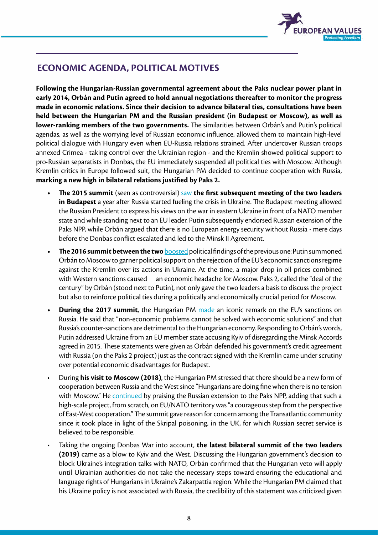

# **ECONOMIC AGENDA, POLITICAL MOTIVES**

**Following the Hungarian-Russian governmental agreement about the Paks nuclear power plant in early 2014, Orbán and Putin agreed to hold annual negotiations thereafter to monitor the progress made in economic relations. Since their decision to advance bilateral ties, consultations have been held between the Hungarian PM and the Russian president (in Budapest or Moscow), as well as lower-ranking members of the two governments.** The similarities between Orbán's and Putin's political agendas, as well as the worrying level of Russian economic influence, allowed them to maintain high-level political dialogue with Hungary even when EU-Russia relations strained. After undercover Russian troops annexed Crimea - taking control over the Ukrainian region - and the Kremlin showed political support to pro-Russian separatists in Donbas, the EU immediately suspended all political ties with Moscow. Although Kremlin critics in Europe followed suit, the Hungarian PM decided to continue cooperation with Russia, **marking a new high in bilateral relations justified by Paks 2.** 

- **The 2015 summit** (seen as controversial) [saw](http://en.kremlin.ru/events/president/transcripts/47706) the first subsequent meeting of the two leaders **in Budapest** a year after Russia started fueling the crisis in Ukraine. The Budapest meeting allowed the Russian President to express his views on the war in eastern Ukraine in front of a NATO member state and while standing next to an EU leader. Putin subsequently endorsed Russian extension of the Paks NPP, while Orbán argued that there is no European energy security without Russia - mere days before the Donbas conflict escalated and led to the Minsk II Agreement.
- **The 2016 summit between the two [boosted](http://en.kremlin.ru/events/president/transcripts/51352) political findings of the previous one: Putin summoned** Orbán to Moscow to garner political support on the rejection of the EU's economic sanctions regime against the Kremlin over its actions in Ukraine. At the time, a major drop in oil prices combined with Western sanctions caused an economic headache for Moscow. Paks 2, called the "deal of the century" by Orbán (stood next to Putin), not only gave the two leaders a basis to discuss the project but also to reinforce political ties during a politically and economically crucial period for Moscow.
- **• During the 2017 summit**, the Hungarian PM [made](http://en.kremlin.ru/events/president/news/53806) an iconic remark on the EU's sanctions on Russia. He said that "non-economic problems cannot be solved with economic solutions" and that Russia's counter-sanctions are detrimental to the Hungarian economy. Responding to Orbán's words, Putin addressed Ukraine from an EU member state accusing Kyiv of disregarding the Minsk Accords agreed in 2015. These statements were given as Orbán defended his government's credit agreement with Russia (on the Paks 2 project) just as the contract signed with the Kremlin came under scrutiny over potential economic disadvantages for Budapest.
- During **his visit to Moscow (2018)**, the Hungarian PM stressed that there should be a new form of cooperation between Russia and the West since "Hungarians are doing fine when there is no tension with Moscow." He [continued](http://en.kremlin.ru/events/president/news/58586) by praising the Russian extension to the Paks NPP, adding that such a high-scale project, from scratch, on EU/NATO territory was "a courageous step from the perspective of East-West cooperation." The summit gave reason for concern among the Transatlantic community since it took place in light of the Skripal poisoning, in the UK, for which Russian secret service is believed to be responsible.
- Taking the ongoing Donbas War into account, **the latest bilateral summit of the two leaders (2019)** came as a blow to Kyiv and the West. Discussing the Hungarian government's decision to block Ukraine's integration talks with NATO, Orbán confirmed that the Hungarian veto will apply until Ukrainian authorities do not take the necessary steps toward ensuring the educational and language rights of Hungarians in Ukraine's Zakarpattia region. While the Hungarian PM claimed that his Ukraine policy is not associated with Russia, the credibility of this statement was criticized given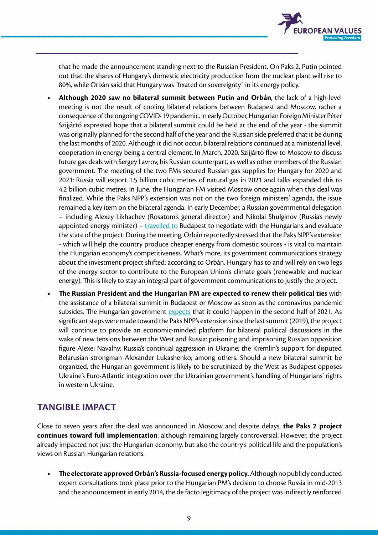

that he made the announcement standing next to the Russian President. On Paks 2, Putin pointed out that the shares of Hungary's domestic electricity production from the nuclear plant will rise to 80%, while Orbán said that Hungary was "fixated on sovereignty" in its energy policy.

- **• Although 2020 saw no bilateral summit between Putin and Orbán**, the lack of a high-level meeting is not the result of cooling bilateral relations between Budapest and Moscow, rather a consequence of the ongoing COVID-19 pandemic. In early October, Hungarian Foreign Minister Péter Szijjártó expressed hope that a bilateral summit could be held at the end of the year - the summit was originally planned for the second half of the year and the Russian side preferred that it be during the last months of 2020. Although it did not occur, bilateral relations continued at a ministerial level, cooperation in energy being a central element. In March, 2020, Szijjártó flew to Moscow to discuss future gas deals with Sergey Lavrov, his Russian counterpart, as well as other members of the Russian government. The meeting of the two FMs secured Russian gas supplies for Hungary for 2020 and 2021: Russia will export 1.5 billion cubic metres of natural gas in 2021 and talks expanded this to 4.2 billion cubic metres. In June, the Hungarian FM visited Moscow once again when this deal was finalized. While the Paks NPP's extension was not on the two foreign ministers' agenda, the issue remained a key item on the bilateral agenda. In early December, a Russian governmental delegation – including Alexey Likhachev (Rosatom's general director) and Nikolai Shulginov (Russia's newly appointed energy minister) –  $travelled to Budapest to negotiate with the Hungarians and evaluate$ </u> the state of the project. During the meeting, Orbán reportedly stressed that the Paks NPP's extension - which will help the country produce cheaper energy from domestic sources - is vital to maintain the Hungarian economy's competitiveness. What's more, its government communications strategy about the investment project shifted: according to Orbán, Hungary has to and will rely on two legs of the energy sector to contribute to the European Union's climate goals (renewable and nuclear energy). This is likely to stay an integral part of government communications to justify the project.
- **• The Russian President and the Hungarian PM are expected to renew their political ties** with the assistance of a bilateral summit in Budapest or Moscow as soon as the coronavirus pandemic subsides. The Hungarian government [expects](https://privatbankar.hu/cikkek/makro/szijjarto-peter-az-ev-masodik-feleben-talalkozhat-orban-es-putyin.html) that it could happen in the second half of 2021. As significant steps were made toward the Paks NPP's extension since the last summit (2019), the project will continue to provide an economic-minded platform for bilateral political discussions in the wake of new tensions between the West and Russia: poisoning and imprisoning Russian opposition figure Alexei Navalny; Russia's continual aggression in Ukraine; the Kremlin's support for disputed Belarusian strongman Alexander Lukashenko; among others. Should a new bilateral summit be organized, the Hungarian government is likely to be scrutinized by the West as Budapest opposes Ukraine's Euro-Atlantic integration over the Ukrainian government's handling of Hungarians' rights in western Ukraine.

## **TANGIBLE IMPACT**

Close to seven years after the deal was announced in Moscow and despite delays, **the Paks 2 project continues toward full implementation**, although remaining largely controversial. However, the project already impacted not just the Hungarian economy, but also the country's political life and the population's views on Russian-Hungarian relations.

**• The electorate approved Orbán's Russia-focused energy policy.** Although no publicly conducted expert consultations took place prior to the Hungarian PM's decision to choose Russia in mid-2013 and the announcement in early 2014, the de facto legitimacy of the project was indirectly reinforced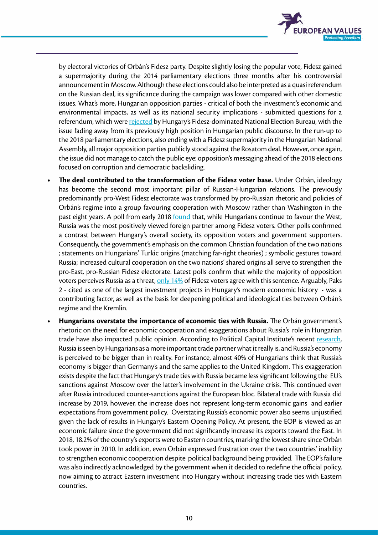

by electoral victories of Orbán's Fidesz party. Despite slightly losing the popular vote, Fidesz gained a supermajority during the 2014 parliamentary elections three months after his controversial announcement in Moscow. Although these elections could also be interpreted as a quasi referendum on the Russian deal, its significance during the campaign was lower compared with other domestic issues. What's more, Hungarian opposition parties - critical of both the investment's economic and environmental impacts, as well as its national security implications - submitted questions for a referendum, which were [rejected](https://nepszava.hu/1124181_paks-2-ahogy-varhato-volt-egyelore-nem-lehet-nepszavazast-tartani) by Hungary's Fidesz-dominated National Election Bureau, with the issue fading away from its previously high position in Hungarian public discourse. In the run-up to the 2018 parliamentary elections, also ending with a Fidesz supermajority in the Hungarian National Assembly, all major opposition parties publicly stood against the Rosatom deal. However, once again, the issue did not manage to catch the public eye: opposition's messaging ahead of the 2018 elections focused on corruption and democratic backsliding.

- **• The deal contributed to the transformation of the Fidesz voter base.** Under Orbán, ideology has become the second most important pillar of Russian-Hungarian relations. The previously predominantly pro-West Fidesz electorate was transformed by pro-Russian rhetoric and policies of Orbán's regime into a group favouring cooperation with Moscow rather than Washington in the past eight years. A poll from early 2018 [found](https://444.hu/2018/03/14/a-fideszesek-nagyon-megszerettek-putyint-es-oroszorszagot) that, while Hungarians continue to favour the West, Russia was the most positively viewed foreign partner among Fidesz voters. Other polls confirmed a contrast between Hungary's overall society, its opposition voters and government supporters. Consequently, the government's emphasis on the common Christian foundation of the two nations ; statements on Hungarians' Turkic origins (matching far-right theories) ; symbolic gestures toward Russia; increased cultural cooperation on the two nations' shared origins all serve to strengthen the pro-East, pro-Russian Fidesz electorate. Latest polls confirm that while the majority of opposition voters perceives Russia as a threat, [only 14%](https://publicus.hu/blog/eros-nyugati-orientacio-mellett-ugyanugy-felunk-sorostol-mint-putyintol/) of Fidesz voters agree with this sentence. Arguably, Paks 2 - cited as one of the largest investment projects in Hungary's modern economic history - was a contributing factor, as well as the basis for deepening political and ideological ties between Orbán's regime and the Kremlin.
- **• Hungarians overstate the importance of economic ties with Russia.** The Orbán government's rhetoric on the need for economic cooperation and exaggerations about Russia's role in Hungarian trade have also impacted public opinion. According to Political Capital Institute's recent [research,](https://www.politicalcapital.hu/pc-admin/source/documents/pc_mystification_and_demystification_of_russia_eng_web_20190312.pdf) Russia is seen by Hungarians as a more important trade partner what it really is, and Russia's economy is perceived to be bigger than in reality. For instance, almost 40% of Hungarians think that Russia's economy is bigger than Germany's and the same applies to the United Kingdom. This exaggeration exists despite the fact that Hungary's trade ties with Russia became less significant following the EU's sanctions against Moscow over the latter's involvement in the Ukraine crisis. This continued even after Russia introduced counter-sanctions against the European bloc. Bilateral trade with Russia did increase by 2019, however, the increase does not represent long-term economic gains and earlier expectations from government policy. Overstating Russia's economic power also seems unjustified given the lack of results in Hungary's Eastern Opening Policy. At present, the EOP is viewed as an economic failure since the government did not significantly increase its exports toward the East. In 2018, 18.2% of the country's exports were to Eastern countries, marking the lowest share since Orbán took power in 2010. In addition, even Orbán expressed frustration over the two countries' inability to strengthen economic cooperation despite political background being provided. The EOP's failure was also indirectly acknowledged by the government when it decided to redefine the official policy, now aiming to attract Eastern investment into Hungary without increasing trade ties with Eastern countries.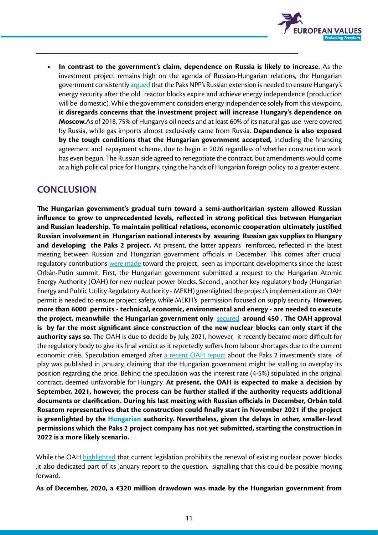

**• In contrast to the government's claim, dependence on Russia is likely to increase.** As the investment project remains high on the agenda of Russian-Hungarian relations, the Hungarian government consistently [argued](https://444.hu/2018/11/15/orban-viktor-ma-arrol-beszelt-hogy-a-paksi-atomeromu-megepitese-noveli-magyarorszag-szuverenitasat) that the Paks NPP's Russian extension is needed to ensure Hungary's energy security after the old reactor blocks expire and achieve energy independence (production will be domestic). While the government considers energy independence solely from this viewpoint, **it disregards concerns that the investment project will increase Hungary's dependence on Moscow.**As of 2018, 75% of Hungary's oil needs and at least 60% of its natural gas use were covered by Russia, while gas imports almost exclusively came from Russia. **Dependence is also exposed by the tough conditions that the Hungarian government accepted,** including the financing agreement and repayment scheme, due to begin in 2026 regardless of whether construction work has even begun. The Russian side agreed to renegotiate the contract, but amendments would come at a high political price for Hungary, tying the hands of Hungarian foreign policy to a greater extent.

### **CONCLUSION**

**The Hungarian government's gradual turn toward a semi-authoritarian system allowed Russian influence to grow to unprecedented levels, reflected in strong political ties between Hungarian and Russian leadership. To maintain political relations, economic cooperation ultimately justified Russian involvement in Hungarian national interests by assuring Russian gas supplies to Hungary and developing the Paks 2 project.** At present, the latter appears reinforced, reflected in the latest meeting between Russian and Hungarian government officials in December. This comes after crucial regulatory contributions [were made](https://www.portfolio.hu/gazdasag/20201203/orban-viktor-a-roszatom-vezerevel-targyalt-a-paksi-atomeromu-boviteserol-460226) toward the project, seen as important developments since the latest Orbán-Putin summit. First, the Hungarian government submitted a request to the Hungarian Atomic Energy Authority (OAH) for new nuclear power blocks. Second , another key regulatory body (Hungarian Energy and Public Utility Regulatory Authority - MEKH) greenlighted the project's implementation: an OAH permit is needed to ensure project safety, while MEKH's permission focused on supply security. **However, more than 6000 permits - technical, economic, environmental and energy - are needed to execute the project, meanwhile the Hungarian government only** [secured](https://www.portfolio.hu/uzlet/20201102/budapesttol-a-balatonig-erne-paks-ii-kinyomtatott-letesitesiengedely-kerelme-de-hogy-all-most-a-projekt-454918) **around 450 . The OAH approval is by far the most significant since construction of the new nuclear blocks can only start if the authority says so**. The OAH is due to decide by July, 2021, however, it recently became more difficult for the regulatory body to give its final verdict as it reportedly suffers from labour shortages due to the current economic crisis. Speculation emerged after [a recent OAH report](https://www.haea.gov.hu/web/v3/OAHPortal.nsf/web?OpenAgent) about the Paks 2 investment's state of play was published in January, claiming that the Hungarian government might be stalling to overplay its position regarding the price. Behind the speculation was the interest rate (4-5%) stipulated in the original contract, deemed unfavorable for Hungary. **At present, the OAH is expected to make a decision by September, 2021, however, the process can be further stalled if the authority requests additional documents or clarification. During his last meeting with Russian officials in December, Orbán told Rosatom representatives that the construction could finally start in November 2021 if the project is greenlighted by the [Hungarian](https://444.hu/2021/03/09/oktoberre-igertek-de-maig-nyujtott-be-egyetlen-godorasasi-engedelykerelmet-sem-a-paks-ii-zrt) authority. Nevertheless, given the delays in other, smaller-level permissions which the Paks 2 project company has not yet submitted, starting the construction in 2022 is a more likely scenario.**

While the OAH [highlighted](https://444.hu/2021/01/19/keves-a-szakember-paks-2-terveinek-engedelyezesehez) that current legislation prohibits the renewal of existing nuclear power blocks ,it also dedicated part of its January report to the question, signalling that this could be possible moving forward.

**As of December, 2020, a €320 million drawdown was made by the Hungarian government from**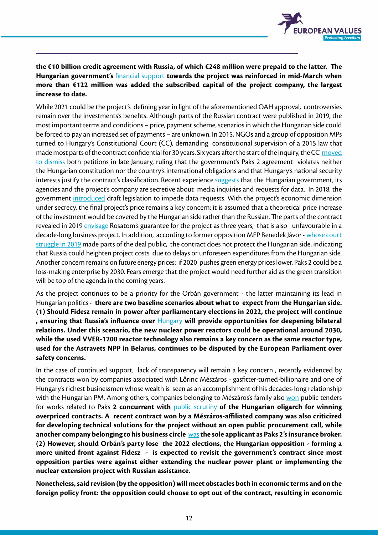

### **the €10 billion credit agreement with Russia, of which €248 million were prepaid to the latter. The Hungarian government's** [financial support](https://nepszava.hu) **towards the project was reinforced in mid-March when more than €122 million was added the subscribed capital of the project company, the largest increase to date.**

While 2021 could be the project's defining year in light of the aforementioned OAH approval, controversies remain over the investments's benefits. Although parts of the Russian contract were published in 2019, the most important terms and conditions – price, payment scheme, scenarios in which the Hungarian side could be forced to pay an increased set of payments – are unknown. In 2015, NGOs and a group of opposition MPs turned to Hungary's Constitutional Court (CC), demanding constitutional supervision of a 2015 law that made most parts of the contract confidential for 30 years. Six years after the start of the inquiry, the CC [moved](https://444.hu/2021/01/18/az-alkotmanybirosag-hat-ev-gondolkodas-utan-arra-jutott-hogy-nem-alaptorveny-ellenes-a-paks-2-titkositasa)  [to dismiss](https://444.hu/2021/01/18/az-alkotmanybirosag-hat-ev-gondolkodas-utan-arra-jutott-hogy-nem-alaptorveny-ellenes-a-paks-2-titkositasa) both petitions in late January, ruling that the government's Paks 2 agreement violates neither the Hungarian constitution nor the country's international obligations and that Hungary's national security interests justify the contract's classification. Recent experience [suggests](https://blog.atlatszo.hu/2021/01/az-alkotmanybirosag-szerint-rendben-van-hogy-a-kormany-30-evre-titkositotta-a-paks2-projektet/) that the Hungarian government, its agencies and the project's company are secretive about media inquiries and requests for data. In 2018, the government [introduced](https://blog.atlatszo.hu/2018/07/rendes-diktaturatempo-torvenyt-modosit-a-kormany-hogy-el-tudjak-titkolni-a-paksi-bovitessel-kapcsolatos-kozadatokat/) draft legislation to impede data requests. With the project's economic dimension under secrecy, the final project's price remains a key concern: it is assumed that a theoretical price increase of the investment would be covered by the Hungarian side rather than the Russian. The parts of the contract revealed in 2019 [envisage](https://hvg.hu/gazdasag/20190329_Javor_Az_oroszok_harom_ev_altalanos_garanciat_vallaltak_Paks_IIre) Rosatom's guarantee for the project as three years, that is also unfavourable in a decade-long business project. In addition, according to former opposition MEP Benedek Jávor - [whose court](https://merce.hu/2019/03/29/paksi-bovites-3-ev-garancia-novekedo-osszeg-kormanyzati-ferditesek/)  [struggle in 2019](https://merce.hu/2019/03/29/paksi-bovites-3-ev-garancia-novekedo-osszeg-kormanyzati-ferditesek/) made parts of the deal public, the contract does not protect the Hungarian side, indicating that Russia could heighten project costs due to delays or unforeseen expenditures from the Hungarian side. Another concern remains on future energy prices: if 2020 pushes green energy prices lower, Paks 2 could be a loss-making enterprise by 2030. Fears emerge that the project would need further aid as the green transition will be top of the agenda in the coming years.

As the project continues to be a priority for the Orbán government - the latter maintaining its lead in Hungarian politics - **there are two baseline scenarios about what to expect from the Hungarian side. (1) Should Fidesz remain in power after parliamentary elections in 2022, the project will continue , ensuring that Russia's influence over** [Hungary](https://www.euronews.com/2021/02/11/meps-raise-safety-concerns-over-a-new-nuclear-plant-in-belarus) **will provide opportunities for deepening bilateral relations. Under this scenario, the new nuclear power reactors could be operational around 2030, while the used VVER-1200 reactor technology also remains a key concern as the same reactor type, used for the Astravets NPP in Belarus, continues to be disputed by the European Parliament over safety concerns.**

In the case of continued support, lack of transparency will remain a key concern , recently evidenced by the contracts won by companies associated with Lőrinc Mészáros - gasfitter-turned-billionaire and one of Hungary's richest businessmen whose wealth is seen as an accomplishment of his decades-long relationship with the Hungarian PM. Among others, companies belonging to Mészáros's family also [won](https://blog.atlatszo.hu/2020/10/a-meszaros-gyerekek-tervezocege-tobbmilliardos-munkat-kapott-a-paksi-atomeromunel/) public tenders for works related to Paks **2 concurrent with** [public scrutiny](https://444.hu/2018/10/16/meszaros-lorinc-cegei-96-milliard-forintos-felarral-vallaltak-el-a-kozbeszerzeses-munkakat) **of the Hungarian oligarch for winning overpriced contracts. A recent contract [won](https://hvg.hu/kkv/20201103_Atepitik_a_paksi_atomeromu_tuzivizrendszeret) by a Mészáros-affiliated company was also criticized for developing technical solutions for the project without an open public procurement call, while another company belonging to his business circle** [was](https://hvg.hu/kkv/20201101_Nem_fogja_kitalalni_ki_nyerte_Paks_II_biztositasi_alkuszi_tenderet) **the sole applicant as Paks 2's insurance broker. (2) However, should Orbán's party lose the 2022 elections, the Hungarian opposition - forming a more united front against Fidesz - is expected to revisit the government's contract since most opposition parties were against either extending the nuclear power plant or implementing the nuclear extension project with Russian assistance.** 

**Nonetheless, said revision (by the opposition) will meet obstacles both in economic terms and on the foreign policy front: the opposition could choose to opt out of the contract, resulting in economic**